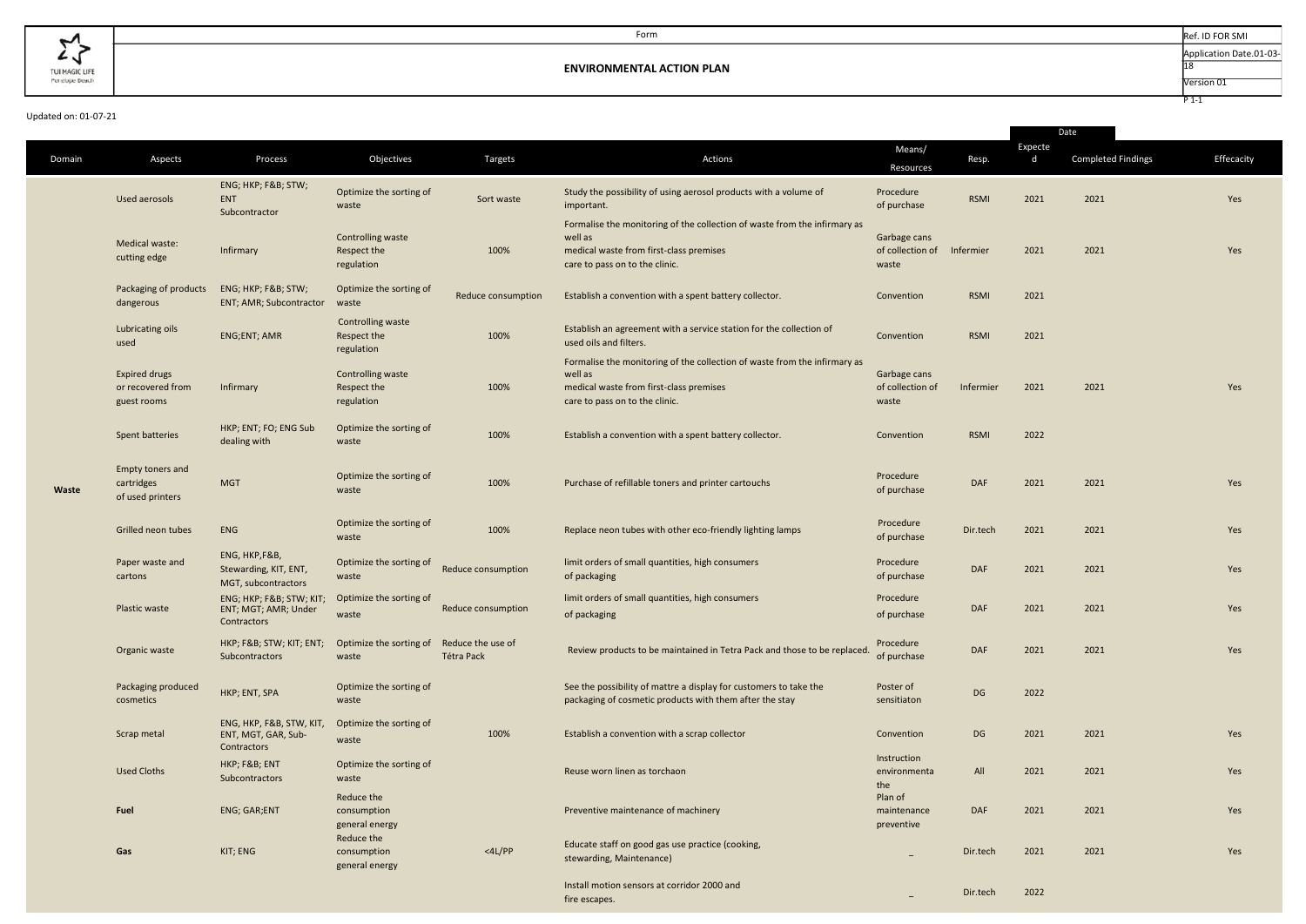TUI MAGIC LIFE

**ENVIRONMENTAL ACTION PLAN**

Ref. ID FOR SMI

Version 01 P 1-1

**Date** 

## Updated on: 01-07-21

| Domain | Aspects                                                  | Process                                                        | Objectives                                         | Targets            | Actions                                                                                                                                                           | Means/<br>Resources                                 | Resp.       | Expecte<br>$\mathsf{d}$ | <b>Completed Findings</b> | Effecacity |
|--------|----------------------------------------------------------|----------------------------------------------------------------|----------------------------------------------------|--------------------|-------------------------------------------------------------------------------------------------------------------------------------------------------------------|-----------------------------------------------------|-------------|-------------------------|---------------------------|------------|
|        | Used aerosols                                            | ENG; HKP; F&B STW;<br><b>ENT</b><br>Subcontractor              | Optimize the sorting of<br>waste                   | Sort waste         | Study the possibility of using aerosol products with a volume of<br>important.                                                                                    | Procedure<br>of purchase                            | <b>RSMI</b> | 2021                    | 2021                      | Yes        |
|        | Medical waste:<br>cutting edge                           | Infirmary                                                      | Controlling waste<br>Respect the<br>regulation     | 100%               | Formalise the monitoring of the collection of waste from the infirmary as<br>well as<br>medical waste from first-class premises<br>care to pass on to the clinic. | Garbage cans<br>of collection of Infermier<br>waste |             | 2021                    | 2021                      | Yes        |
|        | Packaging of products<br>dangerous                       | ENG; HKP; F&B STW;<br>ENT; AMR; Subcontractor                  | Optimize the sorting of<br>waste                   | Reduce consumption | Establish a convention with a spent battery collector.                                                                                                            | Convention                                          | <b>RSMI</b> | 2021                    |                           |            |
| Waste  | Lubricating oils<br>used                                 | ENG;ENT; AMR                                                   | Controlling waste<br>Respect the<br>regulation     | 100%               | Establish an agreement with a service station for the collection of<br>used oils and filters.                                                                     | Convention                                          | <b>RSMI</b> | 2021                    |                           |            |
|        | <b>Expired drugs</b><br>or recovered from<br>guest rooms | Infirmary                                                      | Controlling waste<br>Respect the<br>regulation     | 100%               | Formalise the monitoring of the collection of waste from the infirmary as<br>well as<br>medical waste from first-class premises<br>care to pass on to the clinic. | Garbage cans<br>of collection of<br>waste           | Infermier   | 2021                    | 2021                      | Yes        |
|        | Spent batteries                                          | HKP; ENT; FO; ENG Sub<br>dealing with                          | Optimize the sorting of<br>waste                   | 100%               | Establish a convention with a spent battery collector.                                                                                                            | Convention                                          | <b>RSMI</b> | 2022                    |                           |            |
|        | Empty toners and<br>cartridges<br>of used printers       | <b>MGT</b>                                                     | Optimize the sorting of<br>waste                   | 100%               | Purchase of refillable toners and printer cartouchs                                                                                                               | Procedure<br>of purchase                            | <b>DAF</b>  | 2021                    | 2021                      | Yes        |
|        | Grilled neon tubes                                       | <b>ENG</b>                                                     | Optimize the sorting of<br>waste                   | 100%               | Replace neon tubes with other eco-friendly lighting lamps                                                                                                         | Procedure<br>of purchase                            | Dir.tech    | 2021                    | 2021                      | Yes        |
|        | Paper waste and<br>cartons                               | ENG, HKP, F&B,<br>Stewarding, KIT, ENT,<br>MGT, subcontractors | Optimize the sorting of<br>waste                   | Reduce consumption | limit orders of small quantities, high consumers<br>of packaging                                                                                                  | Procedure<br>of purchase                            | <b>DAF</b>  | 2021                    | 2021                      | Yes        |
|        | Plastic waste                                            | ENG; HKP; F&B STW; KIT;<br>ENT; MGT; AMR; Under<br>Contractors | Optimize the sorting of<br>waste                   | Reduce consumption | limit orders of small quantities, high consumers<br>of packaging                                                                                                  | Procedure<br>of purchase                            | <b>DAF</b>  | 2021                    | 2021                      | Yes        |
|        | Organic waste                                            | HKP; F&B STW; KIT; ENT;<br>Subcontractors                      | Optimize the sorting of Reduce the use of<br>waste | Tétra Pack         | Review products to be maintained in Tetra Pack and those to be replaced                                                                                           | Procedure<br>of purchase                            | <b>DAF</b>  | 2021                    | 2021                      | Yes        |
|        | Packaging produced<br>cosmetics                          | HKP; ENT, SPA                                                  | Optimize the sorting of<br>waste                   |                    | See the possibility of mattre a display for customers to take the<br>packaging of cosmetic products with them after the stay                                      | Poster of<br>sensitiaton                            | DG          | 2022                    |                           |            |
|        | Scrap metal                                              | ENG, HKP, F&B, STW, KIT,<br>ENT, MGT, GAR, Sub-<br>Contractors | Optimize the sorting of<br>waste                   | 100%               | Establish a convention with a scrap collector                                                                                                                     | Convention                                          | DG          | 2021                    | 2021                      | Yes        |
|        | <b>Used Cloths</b>                                       | HKP; F&B ENT<br>Subcontractors                                 | Optimize the sorting of<br>waste                   |                    | Reuse worn linen as torchaon                                                                                                                                      | Instruction<br>environmenta<br>the                  | All         | 2021                    | 2021                      | Yes        |
|        | Fuel                                                     | ENG; GAR;ENT                                                   | Reduce the<br>consumption<br>general energy        |                    | Preventive maintenance of machinery                                                                                                                               | Plan of<br>maintenance<br>preventive                | DAF         | 2021                    | 2021                      | Yes        |
|        | Gas                                                      | KIT; ENG                                                       | Reduce the<br>consumption<br>general energy        | $<$ 4L/PP          | Educate staff on good gas use practice (cooking,<br>stewarding, Maintenance)                                                                                      |                                                     | Dir.tech    | 2021                    | 2021                      | Yes        |
|        |                                                          |                                                                |                                                    |                    | Install motion sensors at corridor 2000 and<br>fire escapes.                                                                                                      |                                                     | Dir.tech    | 2022                    |                           |            |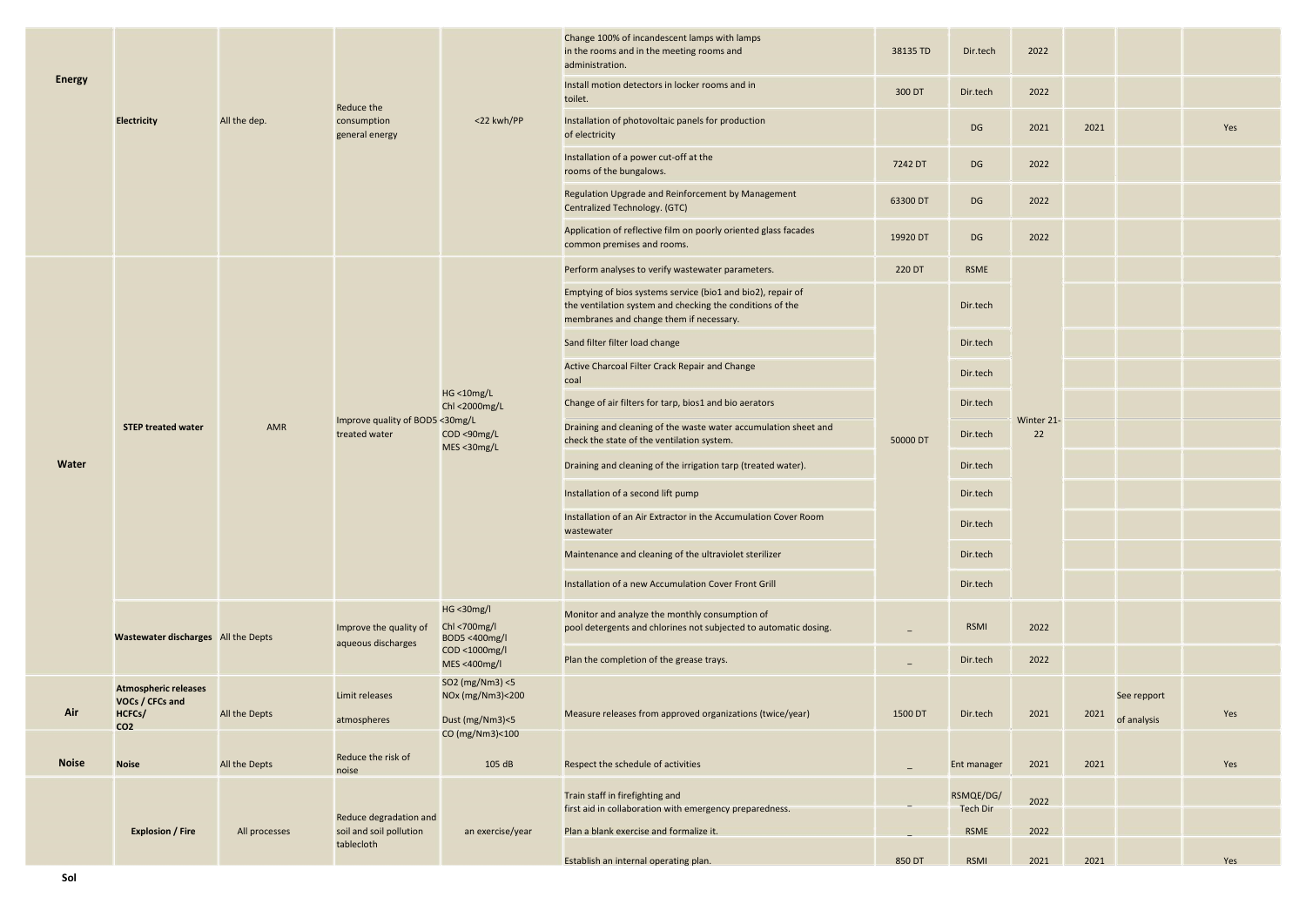|               |                                     | All the dep.  | Reduce the<br>consumption<br>general energy                     | <22 kwh/PP                                                                             | Change 100% of incandescent lamps with lamps<br>in the rooms and in the meeting rooms and<br>administration.                                                        | 38135 TD          | Dir.tech    | 2022             |      |             |     |
|---------------|-------------------------------------|---------------|-----------------------------------------------------------------|----------------------------------------------------------------------------------------|---------------------------------------------------------------------------------------------------------------------------------------------------------------------|-------------------|-------------|------------------|------|-------------|-----|
| <b>Energy</b> |                                     |               |                                                                 |                                                                                        | Install motion detectors in locker rooms and in<br>toilet.                                                                                                          | 300 DT            | Dir.tech    | 2022             |      |             |     |
|               | <b>Electricity</b>                  |               |                                                                 |                                                                                        | Installation of photovoltaic panels for production<br>of electricity                                                                                                |                   | DG          | 2021             | 2021 |             | Yes |
|               |                                     |               |                                                                 |                                                                                        | Installation of a power cut-off at the<br>rooms of the bungalows.                                                                                                   | 7242 DT           | DG          | 2022             |      |             |     |
|               |                                     |               |                                                                 |                                                                                        | Regulation Upgrade and Reinforcement by Management<br>Centralized Technology. (GTC)                                                                                 | 63300 DT          | DG          | 2022             |      |             |     |
|               |                                     |               |                                                                 |                                                                                        | Application of reflective film on poorly oriented glass facades<br>common premises and rooms.                                                                       | 19920 DT          | DG          | 2022             |      |             |     |
|               |                                     |               | Improve quality of BOD5 <30mg/L<br>treated water                | <b>HG &lt;10mg/L</b><br>Chl <2000mg/L<br>COD <90mg/L<br>MES<30mg/L                     | Perform analyses to verify wastewater parameters.                                                                                                                   | 220 DT            | <b>RSME</b> | Winter 21-<br>22 |      |             |     |
|               | <b>STEP treated water</b>           | AMR           |                                                                 |                                                                                        | Emptying of bios systems service (bio1 and bio2), repair of<br>the ventilation system and checking the conditions of the<br>membranes and change them if necessary. |                   | Dir.tech    |                  |      |             |     |
|               |                                     |               |                                                                 |                                                                                        | Sand filter filter load change                                                                                                                                      | 50000 DT          | Dir.tech    |                  |      |             |     |
|               |                                     |               |                                                                 |                                                                                        | Active Charcoal Filter Crack Repair and Change<br>coal                                                                                                              |                   | Dir.tech    |                  |      |             |     |
|               |                                     |               |                                                                 |                                                                                        | Change of air filters for tarp, bios1 and bio aerators                                                                                                              |                   | Dir.tech    |                  |      |             |     |
|               |                                     |               |                                                                 |                                                                                        | Draining and cleaning of the waste water accumulation sheet and<br>check the state of the ventilation system.                                                       |                   | Dir.tech    |                  |      |             |     |
| Water         |                                     |               |                                                                 |                                                                                        | Draining and cleaning of the irrigation tarp (treated water).                                                                                                       |                   | Dir.tech    |                  |      |             |     |
|               |                                     |               |                                                                 |                                                                                        | Installation of a second lift pump                                                                                                                                  |                   | Dir.tech    |                  |      |             |     |
|               |                                     |               |                                                                 |                                                                                        | Installation of an Air Extractor in the Accumulation Cover Room<br>wastewater                                                                                       |                   | Dir.tech    |                  |      |             |     |
|               |                                     |               |                                                                 |                                                                                        | Maintenance and cleaning of the ultraviolet sterilizer                                                                                                              |                   | Dir.tech    |                  |      |             |     |
|               |                                     |               |                                                                 |                                                                                        | Installation of a new Accumulation Cover Front Grill                                                                                                                |                   | Dir.tech    |                  |      |             |     |
|               | Wastewater discharges All the Depts |               | Improve the quality of<br>aqueous discharges                    | <b>HG &lt;30mg/l</b><br>Chl <700mg/l<br>BOD5 <400mg/l<br>COD <1000mg/l<br>MES <400mg/l | Monitor and analyze the monthly consumption of<br>pool detergents and chlorines not subjected to automatic dosing.                                                  |                   | <b>RSMI</b> | 2022             |      |             |     |
|               |                                     |               |                                                                 |                                                                                        | Plan the completion of the grease trays.                                                                                                                            |                   | Dir.tech    | 2022             |      |             |     |
|               | <b>Atmospheric releases</b>         |               | Limit releases                                                  | SO2 (mg/Nm3) <5<br>NOx (mg/Nm3)<200                                                    |                                                                                                                                                                     |                   |             |                  |      | See repport |     |
| Air<br>HCFCs/ | VOCs / CFCs and<br>CO2              | All the Depts | atmospheres                                                     | Dust (mg/Nm3)<5                                                                        | Measure releases from approved organizations (twice/year)                                                                                                           | 1500 DT           | Dir.tech    | 2021             | 2021 | of analysis | Yes |
| <b>Noise</b>  | <b>Noise</b>                        | All the Depts | Reduce the risk of<br>noise                                     | CO (mg/Nm3)<100<br>105 dB                                                              | Respect the schedule of activities                                                                                                                                  | $\qquad \qquad -$ | Ent manager | 2021             | 2021 |             | Yes |
|               | <b>Explosion / Fire</b>             | All processes | Reduce degradation and<br>soil and soil pollution<br>tablecloth | an exercise/year                                                                       | Train staff in firefighting and                                                                                                                                     |                   | RSMQE/DG/   |                  |      |             |     |
|               |                                     |               |                                                                 |                                                                                        | first aid in collaboration with emergency preparedness.                                                                                                             |                   | Tech Dir    | 2022             |      |             |     |
|               |                                     |               |                                                                 |                                                                                        | Plan a blank exercise and formalize it.                                                                                                                             |                   | <b>RSME</b> | 2022             |      |             |     |
|               |                                     |               |                                                                 |                                                                                        | Establish an internal operating plan.                                                                                                                               | 850 DT            | <b>RSMI</b> | 2021             | 2021 |             | Yes |